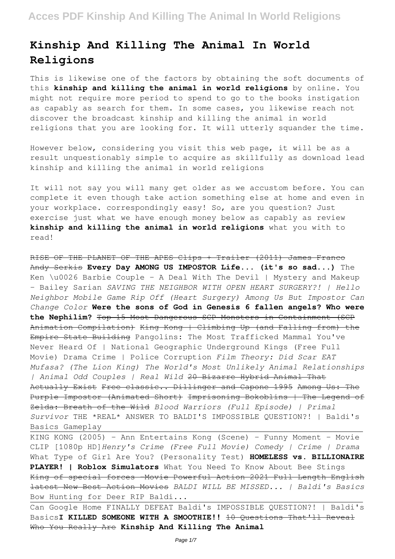# **Kinship And Killing The Animal In World Religions**

This is likewise one of the factors by obtaining the soft documents of this **kinship and killing the animal in world religions** by online. You might not require more period to spend to go to the books instigation as capably as search for them. In some cases, you likewise reach not discover the broadcast kinship and killing the animal in world religions that you are looking for. It will utterly squander the time.

However below, considering you visit this web page, it will be as a result unquestionably simple to acquire as skillfully as download lead kinship and killing the animal in world religions

It will not say you will many get older as we accustom before. You can complete it even though take action something else at home and even in your workplace. correspondingly easy! So, are you question? Just exercise just what we have enough money below as capably as review **kinship and killing the animal in world religions** what you with to read!

RISE OF THE PLANET OF THE APES Clips + Trailer (2011) James Franco Andy Serkis **Every Day AMONG US IMPOSTOR Life... (it's so sad...)** The Ken \u0026 Barbie Couple - A Deal With The Devil | Mystery and Makeup - Bailey Sarian *SAVING THE NEIGHBOR WITH OPEN HEART SURGERY?! | Hello Neighbor Mobile Game Rip Off (Heart Surgery) Among Us But Impostor Can Change Color* **Were the sons of God in Genesis 6 fallen angels? Who were the Nephilim?** Top 15 Most Dangerous SCP Monsters in Containment (SCP Animation Compilation) King Kong | Climbing Up (and Falling from) the Empire State Building Pangolins: The Most Trafficked Mammal You've Never Heard Of | National Geographic Underground Kings (Free Full Movie) Drama Crime | Police Corruption *Film Theory: Did Scar EAT Mufasa? (The Lion King) The World's Most Unlikely Animal Relationships | Animal Odd Couples | Real Wild* 20 Bizarre Hybrid Animal That Actually Exist Free classic.. Dillinger and Capone 1995 Among Us: The Purple Impostor (Animated Short) Imprisoning Bokoblins | The Legend of Zelda: Breath of the Wild *Blood Warriors (Full Episode) | Primal Survivor* THE \*REAL\* ANSWER TO BALDI'S IMPOSSIBLE QUESTION?! | Baldi's Basics Gameplay

KING KONG (2005) - Ann Entertains Kong (Scene) - Funny Moment - Movie CLIP [1080p HD]*Henry's Crime (Free Full Movie) Comedy | Crime | Drama* What Type of Girl Are You? (Personality Test) **HOMELESS vs. BILLIONAIRE PLAYER! | Roblox Simulators** What You Need To Know About Bee Stings King of special forces -Movie Powerful Action 2021 Full Length English latest New Best Action Movies *BALDI WILL BE MISSED... | Baldi's Basics* Bow Hunting for Deer RIP Baldi...

Can Google Home FINALLY DEFEAT Baldi's IMPOSSIBLE QUESTION?! | Baldi's BasicsI KILLED SOMEONE WITH A SMOOTHIE!! 10 Questions That'll Reveal Who You Really Are **Kinship And Killing The Animal**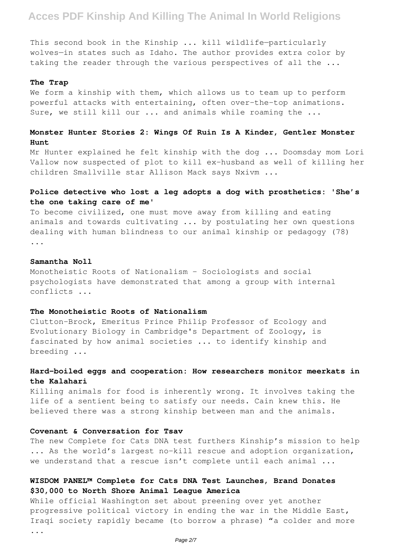This second book in the Kinship ... kill wildlife—particularly wolves—in states such as Idaho. The author provides extra color by taking the reader through the various perspectives of all the ...

#### **The Trap**

We form a kinship with them, which allows us to team up to perform powerful attacks with entertaining, often over-the-top animations. Sure, we still kill our ... and animals while roaming the ...

### **Monster Hunter Stories 2: Wings Of Ruin Is A Kinder, Gentler Monster Hunt**

Mr Hunter explained he felt kinship with the dog ... Doomsday mom Lori Vallow now suspected of plot to kill ex-husband as well of killing her children Smallville star Allison Mack says Nxivm ...

## **Police detective who lost a leg adopts a dog with prosthetics: 'She's the one taking care of me'**

To become civilized, one must move away from killing and eating animals and towards cultivating ... by postulating her own questions dealing with human blindness to our animal kinship or pedagogy (78) ...

#### **Samantha Noll**

Monotheistic Roots of Nationalism - Sociologists and social psychologists have demonstrated that among a group with internal conflicts ...

#### **The Monotheistic Roots of Nationalism**

Clutton-Brock, Emeritus Prince Philip Professor of Ecology and Evolutionary Biology in Cambridge's Department of Zoology, is fascinated by how animal societies ... to identify kinship and breeding ...

### **Hard-boiled eggs and cooperation: How researchers monitor meerkats in the Kalahari**

Killing animals for food is inherently wrong. It involves taking the life of a sentient being to satisfy our needs. Cain knew this. He believed there was a strong kinship between man and the animals.

#### **Covenant & Conversation for Tsav**

The new Complete for Cats DNA test furthers Kinship's mission to help ... As the world's largest no-kill rescue and adoption organization, we understand that a rescue isn't complete until each animal ...

### **WISDOM PANEL™ Complete for Cats DNA Test Launches, Brand Donates \$30,000 to North Shore Animal League America**

While official Washington set about preening over yet another progressive political victory in ending the war in the Middle East, Iraqi society rapidly became (to borrow a phrase) "a colder and more ...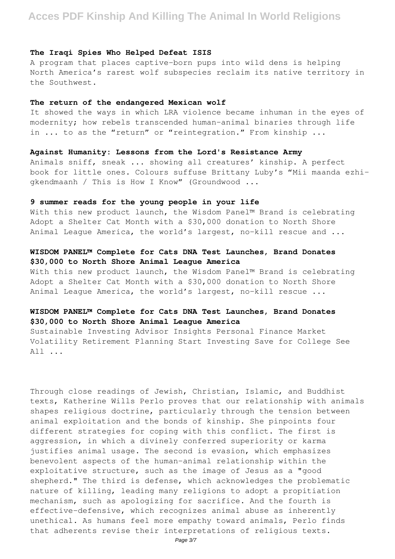#### **The Iraqi Spies Who Helped Defeat ISIS**

A program that places captive-born pups into wild dens is helping North America's rarest wolf subspecies reclaim its native territory in the Southwest.

#### **The return of the endangered Mexican wolf**

It showed the ways in which LRA violence became inhuman in the eyes of modernity; how rebels transcended human-animal binaries through life in ... to as the "return" or "reintegration." From kinship ...

#### **Against Humanity: Lessons from the Lord's Resistance Army**

Animals sniff, sneak ... showing all creatures' kinship. A perfect book for little ones. Colours suffuse Brittany Luby's "Mii maanda ezhigkendmaanh / This is How I Know" (Groundwood ...

#### **9 summer reads for the young people in your life**

With this new product launch, the Wisdom Panel™ Brand is celebrating Adopt a Shelter Cat Month with a \$30,000 donation to North Shore Animal League America, the world's largest, no-kill rescue and ...

### **WISDOM PANEL™ Complete for Cats DNA Test Launches, Brand Donates \$30,000 to North Shore Animal League America**

With this new product launch, the Wisdom Panel™ Brand is celebrating Adopt a Shelter Cat Month with a \$30,000 donation to North Shore Animal League America, the world's largest, no-kill rescue ...

### **WISDOM PANEL™ Complete for Cats DNA Test Launches, Brand Donates \$30,000 to North Shore Animal League America**

Sustainable Investing Advisor Insights Personal Finance Market Volatility Retirement Planning Start Investing Save for College See All ...

Through close readings of Jewish, Christian, Islamic, and Buddhist texts, Katherine Wills Perlo proves that our relationship with animals shapes religious doctrine, particularly through the tension between animal exploitation and the bonds of kinship. She pinpoints four different strategies for coping with this conflict. The first is aggression, in which a divinely conferred superiority or karma justifies animal usage. The second is evasion, which emphasizes benevolent aspects of the human-animal relationship within the exploitative structure, such as the image of Jesus as a "good shepherd." The third is defense, which acknowledges the problematic nature of killing, leading many religions to adopt a propitiation mechanism, such as apologizing for sacrifice. And the fourth is effective-defensive, which recognizes animal abuse as inherently unethical. As humans feel more empathy toward animals, Perlo finds that adherents revise their interpretations of religious texts.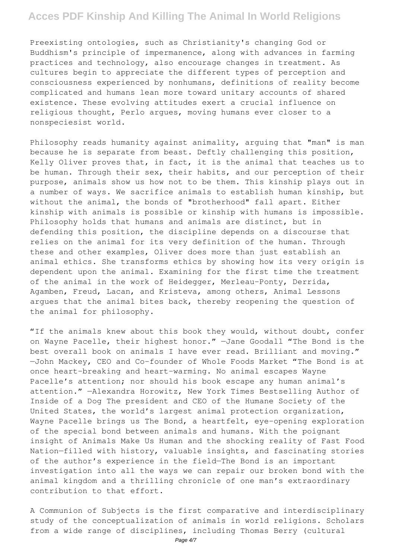Preexisting ontologies, such as Christianity's changing God or Buddhism's principle of impermanence, along with advances in farming practices and technology, also encourage changes in treatment. As cultures begin to appreciate the different types of perception and consciousness experienced by nonhumans, definitions of reality become complicated and humans lean more toward unitary accounts of shared existence. These evolving attitudes exert a crucial influence on religious thought, Perlo argues, moving humans ever closer to a nonspeciesist world.

Philosophy reads humanity against animality, arguing that "man" is man because he is separate from beast. Deftly challenging this position, Kelly Oliver proves that, in fact, it is the animal that teaches us to be human. Through their sex, their habits, and our perception of their purpose, animals show us how not to be them. This kinship plays out in a number of ways. We sacrifice animals to establish human kinship, but without the animal, the bonds of "brotherhood" fall apart. Either kinship with animals is possible or kinship with humans is impossible. Philosophy holds that humans and animals are distinct, but in defending this position, the discipline depends on a discourse that relies on the animal for its very definition of the human. Through these and other examples, Oliver does more than just establish an animal ethics. She transforms ethics by showing how its very origin is dependent upon the animal. Examining for the first time the treatment of the animal in the work of Heidegger, Merleau-Ponty, Derrida, Agamben, Freud, Lacan, and Kristeva, among others, Animal Lessons argues that the animal bites back, thereby reopening the question of the animal for philosophy.

"If the animals knew about this book they would, without doubt, confer on Wayne Pacelle, their highest honor." —Jane Goodall "The Bond is the best overall book on animals I have ever read. Brilliant and moving." —John Mackey, CEO and Co-founder of Whole Foods Market "The Bond is at once heart-breaking and heart-warming. No animal escapes Wayne Pacelle's attention; nor should his book escape any human animal's attention." —Alexandra Horowitz, New York Times Bestselling Author of Inside of a Dog The president and CEO of the Humane Society of the United States, the world's largest animal protection organization, Wayne Pacelle brings us The Bond, a heartfelt, eye-opening exploration of the special bond between animals and humans. With the poignant insight of Animals Make Us Human and the shocking reality of Fast Food Nation—filled with history, valuable insights, and fascinating stories of the author's experience in the field—The Bond is an important investigation into all the ways we can repair our broken bond with the animal kingdom and a thrilling chronicle of one man's extraordinary contribution to that effort.

A Communion of Subjects is the first comparative and interdisciplinary study of the conceptualization of animals in world religions. Scholars from a wide range of disciplines, including Thomas Berry (cultural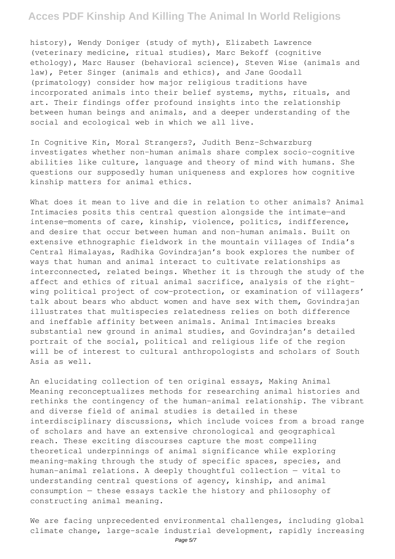history), Wendy Doniger (study of myth), Elizabeth Lawrence (veterinary medicine, ritual studies), Marc Bekoff (cognitive ethology), Marc Hauser (behavioral science), Steven Wise (animals and law), Peter Singer (animals and ethics), and Jane Goodall (primatology) consider how major religious traditions have incorporated animals into their belief systems, myths, rituals, and art. Their findings offer profound insights into the relationship between human beings and animals, and a deeper understanding of the social and ecological web in which we all live.

In Cognitive Kin, Moral Strangers?, Judith Benz-Schwarzburg investigates whether non-human animals share complex socio-cognitive abilities like culture, language and theory of mind with humans. She questions our supposedly human uniqueness and explores how cognitive kinship matters for animal ethics.

What does it mean to live and die in relation to other animals? Animal Intimacies posits this central question alongside the intimate—and intense—moments of care, kinship, violence, politics, indifference, and desire that occur between human and non-human animals. Built on extensive ethnographic fieldwork in the mountain villages of India's Central Himalayas, Radhika Govindrajan's book explores the number of ways that human and animal interact to cultivate relationships as interconnected, related beings. Whether it is through the study of the affect and ethics of ritual animal sacrifice, analysis of the rightwing political project of cow-protection, or examination of villagers' talk about bears who abduct women and have sex with them, Govindrajan illustrates that multispecies relatedness relies on both difference and ineffable affinity between animals. Animal Intimacies breaks substantial new ground in animal studies, and Govindrajan's detailed portrait of the social, political and religious life of the region will be of interest to cultural anthropologists and scholars of South Asia as well.

An elucidating collection of ten original essays, Making Animal Meaning reconceptualizes methods for researching animal histories and rethinks the contingency of the human-animal relationship. The vibrant and diverse field of animal studies is detailed in these interdisciplinary discussions, which include voices from a broad range of scholars and have an extensive chronological and geographical reach. These exciting discourses capture the most compelling theoretical underpinnings of animal significance while exploring meaning-making through the study of specific spaces, species, and human-animal relations. A deeply thoughtful collection — vital to understanding central questions of agency, kinship, and animal consumption — these essays tackle the history and philosophy of constructing animal meaning.

We are facing unprecedented environmental challenges, including global climate change, large-scale industrial development, rapidly increasing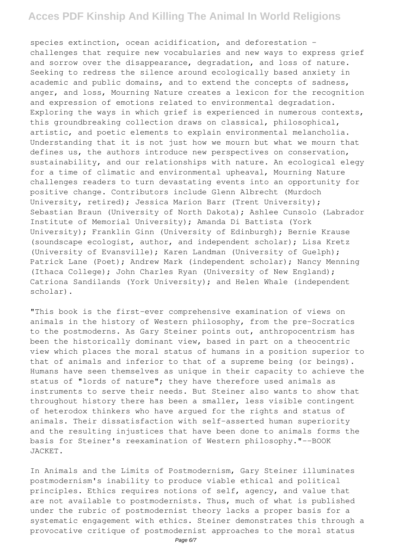species extinction, ocean acidification, and deforestation – challenges that require new vocabularies and new ways to express grief and sorrow over the disappearance, degradation, and loss of nature. Seeking to redress the silence around ecologically based anxiety in academic and public domains, and to extend the concepts of sadness, anger, and loss, Mourning Nature creates a lexicon for the recognition and expression of emotions related to environmental degradation. Exploring the ways in which grief is experienced in numerous contexts, this groundbreaking collection draws on classical, philosophical, artistic, and poetic elements to explain environmental melancholia. Understanding that it is not just how we mourn but what we mourn that defines us, the authors introduce new perspectives on conservation, sustainability, and our relationships with nature. An ecological elegy for a time of climatic and environmental upheaval, Mourning Nature challenges readers to turn devastating events into an opportunity for positive change. Contributors include Glenn Albrecht (Murdoch University, retired); Jessica Marion Barr (Trent University); Sebastian Braun (University of North Dakota); Ashlee Cunsolo (Labrador Institute of Memorial University); Amanda Di Battista (York University); Franklin Ginn (University of Edinburgh); Bernie Krause (soundscape ecologist, author, and independent scholar); Lisa Kretz (University of Evansville); Karen Landman (University of Guelph); Patrick Lane (Poet); Andrew Mark (independent scholar); Nancy Menning (Ithaca College); John Charles Ryan (University of New England); Catriona Sandilands (York University); and Helen Whale (independent scholar).

"This book is the first-ever comprehensive examination of views on animals in the history of Western philosophy, from the pre-Socratics to the postmoderns. As Gary Steiner points out, anthropocentrism has been the historically dominant view, based in part on a theocentric view which places the moral status of humans in a position superior to that of animals and inferior to that of a supreme being (or beings). Humans have seen themselves as unique in their capacity to achieve the status of "lords of nature"; they have therefore used animals as instruments to serve their needs. But Steiner also wants to show that throughout history there has been a smaller, less visible contingent of heterodox thinkers who have argued for the rights and status of animals. Their dissatisfaction with self-asserted human superiority and the resulting injustices that have been done to animals forms the basis for Steiner's reexamination of Western philosophy."--BOOK JACKET.

In Animals and the Limits of Postmodernism, Gary Steiner illuminates postmodernism's inability to produce viable ethical and political principles. Ethics requires notions of self, agency, and value that are not available to postmodernists. Thus, much of what is published under the rubric of postmodernist theory lacks a proper basis for a systematic engagement with ethics. Steiner demonstrates this through a provocative critique of postmodernist approaches to the moral status